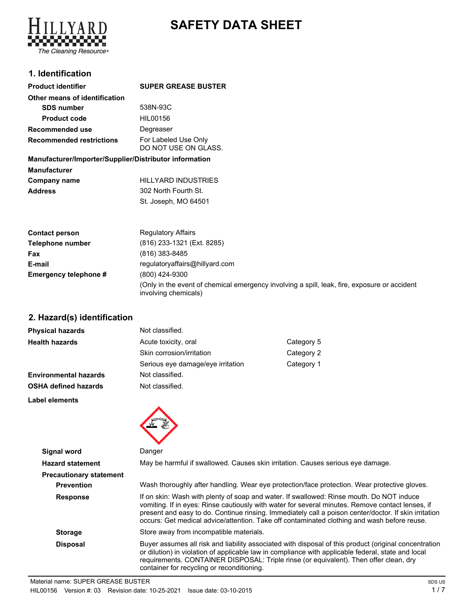

# **SAFETY DATA SHEET**

# **1. Identification**

| <b>SUPER GREASE BUSTER</b>                   |
|----------------------------------------------|
|                                              |
| 538N-93C                                     |
| HIL00156                                     |
| Degreaser                                    |
| For Labeled Use Only<br>DO NOT USE ON GLASS. |
|                                              |

### **Manufacturer/Importer/Supplier/Distributor information Manufacturer Company name** HILLYARD INDUSTRIES **Address** 302 North Fourth St.

| <b>Contact person</b> | <b>Regulatory Affairs</b>                                                                                            |
|-----------------------|----------------------------------------------------------------------------------------------------------------------|
| Telephone number      | (816) 233-1321 (Ext. 8285)                                                                                           |
| Fax                   | (816) 383-8485                                                                                                       |
| E-mail                | regulatoryaffairs@hillyard.com                                                                                       |
| Emergency telephone # | (800) 424-9300                                                                                                       |
|                       | (Only in the event of chemical emergency involving a spill, leak, fire, exposure or accident<br>involving chemicals) |

**2. Hazard(s) identification**

| <b>Physical hazards</b>      | Not classified.                   |            |
|------------------------------|-----------------------------------|------------|
| <b>Health hazards</b>        | Acute toxicity, oral              | Category 5 |
|                              | Skin corrosion/irritation         | Category 2 |
|                              | Serious eye damage/eye irritation | Category 1 |
| <b>Environmental hazards</b> | Not classified.                   |            |
| <b>OSHA defined hazards</b>  | Not classified.                   |            |
| Label elements               |                                   |            |

St. Joseph, MO 64501



| Signal word                    | Danger                                                                                                                                                                                                                                                                                                                                                                                               |
|--------------------------------|------------------------------------------------------------------------------------------------------------------------------------------------------------------------------------------------------------------------------------------------------------------------------------------------------------------------------------------------------------------------------------------------------|
| <b>Hazard statement</b>        | May be harmful if swallowed. Causes skin irritation. Causes serious eye damage.                                                                                                                                                                                                                                                                                                                      |
| <b>Precautionary statement</b> |                                                                                                                                                                                                                                                                                                                                                                                                      |
| <b>Prevention</b>              | Wash thoroughly after handling. Wear eye protection/face protection. Wear protective gloves.                                                                                                                                                                                                                                                                                                         |
| <b>Response</b>                | If on skin: Wash with plenty of soap and water. If swallowed: Rinse mouth. Do NOT induce<br>vomiting. If in eyes: Rinse cautiously with water for several minutes. Remove contact lenses, if<br>present and easy to do. Continue rinsing. Immediately call a poison center/doctor. If skin irritation<br>occurs: Get medical advice/attention. Take off contaminated clothing and wash before reuse. |
| <b>Storage</b>                 | Store away from incompatible materials.                                                                                                                                                                                                                                                                                                                                                              |
| <b>Disposal</b>                | Buyer assumes all risk and liability associated with disposal of this product (original concentration<br>or dilution) in violation of applicable law in compliance with applicable federal, state and local<br>requirements. CONTAINER DISPOSAL: Triple rinse (or equivalent). Then offer clean, dry<br>container for recycling or reconditioning.                                                   |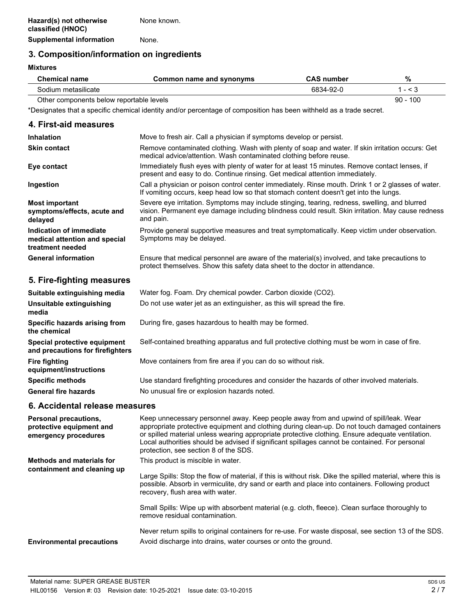### **3. Composition/information on ingredients**

#### **Mixtures**

| <b>Chemical name</b>                     | Common name and synonyms | <b>CAS</b> number | %          |
|------------------------------------------|--------------------------|-------------------|------------|
| Sodium metasilicate                      |                          | 6834-92-0         | 1 - < 3    |
| Other components below reportable levels |                          |                   | $90 - 100$ |

\*Designates that a specific chemical identity and/or percentage of composition has been withheld as a trade secret.

#### **4. First-aid measures**

| <b>Inhalation</b>                                                            | Move to fresh air. Call a physician if symptoms develop or persist.                                                                                                                                             |
|------------------------------------------------------------------------------|-----------------------------------------------------------------------------------------------------------------------------------------------------------------------------------------------------------------|
| <b>Skin contact</b>                                                          | Remove contaminated clothing. Wash with plenty of soap and water. If skin irritation occurs: Get<br>medical advice/attention. Wash contaminated clothing before reuse.                                          |
| Eye contact                                                                  | Immediately flush eyes with plenty of water for at least 15 minutes. Remove contact lenses, if<br>present and easy to do. Continue rinsing. Get medical attention immediately.                                  |
| Ingestion                                                                    | Call a physician or poison control center immediately. Rinse mouth. Drink 1 or 2 glasses of water.<br>If vomiting occurs, keep head low so that stomach content doesn't get into the lungs.                     |
| <b>Most important</b><br>symptoms/effects, acute and<br>delayed              | Severe eye irritation. Symptoms may include stinging, tearing, redness, swelling, and blurred<br>vision. Permanent eye damage including blindness could result. Skin irritation. May cause redness<br>and pain. |
| Indication of immediate<br>medical attention and special<br>treatment needed | Provide general supportive measures and treat symptomatically. Keep victim under observation.<br>Symptoms may be delayed.                                                                                       |
| <b>General information</b>                                                   | Ensure that medical personnel are aware of the material(s) involved, and take precautions to<br>protect themselves. Show this safety data sheet to the doctor in attendance.                                    |

# **5. Fire-fighting measures**

| Suitable extinguishing media                                     | Water fog. Foam. Dry chemical powder. Carbon dioxide (CO2).                                   |
|------------------------------------------------------------------|-----------------------------------------------------------------------------------------------|
| Unsuitable extinguishing<br>media                                | Do not use water jet as an extinguisher, as this will spread the fire.                        |
| Specific hazards arising from<br>the chemical                    | During fire, gases hazardous to health may be formed.                                         |
| Special protective equipment<br>and precautions for firefighters | Self-contained breathing apparatus and full protective clothing must be worn in case of fire. |
| <b>Fire fighting</b><br>equipment/instructions                   | Move containers from fire area if you can do so without risk.                                 |
| <b>Specific methods</b>                                          | Use standard firefighting procedures and consider the hazards of other involved materials.    |
| <b>General fire hazards</b>                                      | No unusual fire or explosion hazards noted.                                                   |

### **6. Accidental release measures**

| <b>Personal precautions,</b><br>protective equipment and<br>emergency procedures | Keep unnecessary personnel away. Keep people away from and upwind of spill/leak. Wear<br>appropriate protective equipment and clothing during clean-up. Do not touch damaged containers<br>or spilled material unless wearing appropriate protective clothing. Ensure adequate ventilation.<br>Local authorities should be advised if significant spillages cannot be contained. For personal<br>protection, see section 8 of the SDS. |
|----------------------------------------------------------------------------------|----------------------------------------------------------------------------------------------------------------------------------------------------------------------------------------------------------------------------------------------------------------------------------------------------------------------------------------------------------------------------------------------------------------------------------------|
| <b>Methods and materials for</b><br>containment and cleaning up                  | This product is miscible in water.<br>Large Spills: Stop the flow of material, if this is without risk. Dike the spilled material, where this is<br>possible. Absorb in vermiculite, dry sand or earth and place into containers. Following product<br>recovery, flush area with water.                                                                                                                                                |
|                                                                                  | Small Spills: Wipe up with absorbent material (e.g. cloth, fleece). Clean surface thoroughly to<br>remove residual contamination.                                                                                                                                                                                                                                                                                                      |
| <b>Environmental precautions</b>                                                 | Never return spills to original containers for re-use. For waste disposal, see section 13 of the SDS.<br>Avoid discharge into drains, water courses or onto the ground.                                                                                                                                                                                                                                                                |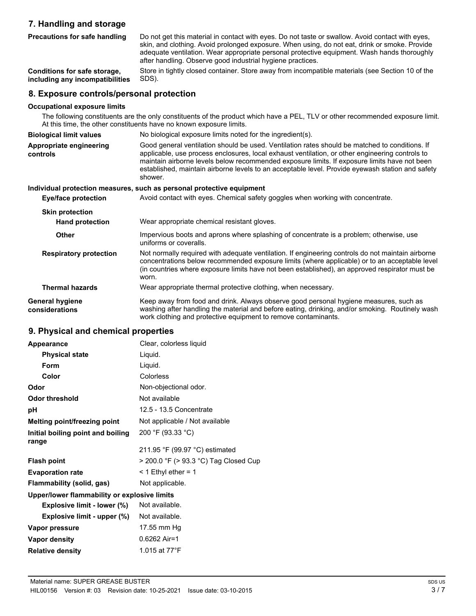# **7. Handling and storage Precautions for safe handling**

| Conditions for safe storage,<br>including any incompatibilities | Store in tightly closed container. Store away from incompatible materials (see Section 10 of the<br>SDS).                                                                                                                                                                                                                                                                                                        |
|-----------------------------------------------------------------|------------------------------------------------------------------------------------------------------------------------------------------------------------------------------------------------------------------------------------------------------------------------------------------------------------------------------------------------------------------------------------------------------------------|
| 8. Exposure controls/personal protection                        |                                                                                                                                                                                                                                                                                                                                                                                                                  |
| <b>Occupational exposure limits</b>                             | The following constituents are the only constituents of the product which have a PEL, TLV or other recommended exposure limit.<br>At this time, the other constituents have no known exposure limits.                                                                                                                                                                                                            |
| <b>Biological limit values</b>                                  | No biological exposure limits noted for the ingredient(s).                                                                                                                                                                                                                                                                                                                                                       |
| Appropriate engineering<br>controls                             | Good general ventilation should be used. Ventilation rates should be matched to conditions. If<br>applicable, use process enclosures, local exhaust ventilation, or other engineering controls to<br>maintain airborne levels below recommended exposure limits. If exposure limits have not been<br>established, maintain airborne levels to an acceptable level. Provide eyewash station and safety<br>shower. |
| Eye/face protection                                             | Individual protection measures, such as personal protective equipment<br>Avoid contact with eyes. Chemical safety goggles when working with concentrate.                                                                                                                                                                                                                                                         |
| <b>Skin protection</b>                                          |                                                                                                                                                                                                                                                                                                                                                                                                                  |
| <b>Hand protection</b>                                          | Wear appropriate chemical resistant gloves.                                                                                                                                                                                                                                                                                                                                                                      |
| <b>Other</b>                                                    | Impervious boots and aprons where splashing of concentrate is a problem; otherwise, use<br>uniforms or coveralls.                                                                                                                                                                                                                                                                                                |
| <b>Respiratory protection</b>                                   | Not normally required with adequate ventilation. If engineering controls do not maintain airborne<br>concentrations below recommended exposure limits (where applicable) or to an acceptable level<br>(in countries where exposure limits have not been established), an approved respirator must be<br>worn.                                                                                                    |
| <b>Thermal hazards</b>                                          | Wear appropriate thermal protective clothing, when necessary.                                                                                                                                                                                                                                                                                                                                                    |
| <b>General hygiene</b><br>considerations                        | Keep away from food and drink. Always observe good personal hygiene measures, such as<br>washing after handling the material and before eating, drinking, and/or smoking. Routinely wash<br>work clothing and protective equipment to remove contaminants.                                                                                                                                                       |

after handling. Observe good industrial hygiene practices.

Do not get this material in contact with eyes. Do not taste or swallow. Avoid contact with eyes, skin, and clothing. Avoid prolonged exposure. When using, do not eat, drink or smoke. Provide adequate ventilation. Wear appropriate personal protective equipment. Wash hands thoroughly

### **9. Physical and chemical properties**

| Appearance                                   | Clear, colorless liquid               |
|----------------------------------------------|---------------------------------------|
| <b>Physical state</b>                        | Liquid.                               |
| <b>Form</b>                                  | Liquid.                               |
| Color                                        | Colorless                             |
| Odor                                         | Non-objectional odor.                 |
| <b>Odor threshold</b>                        | Not available                         |
| рH                                           | 12.5 - 13.5 Concentrate               |
| Melting point/freezing point                 | Not applicable / Not available        |
| Initial boiling point and boiling<br>range   | 200 °F (93.33 °C)                     |
|                                              | 211.95 °F (99.97 °C) estimated        |
| <b>Flash point</b>                           | > 200.0 °F (> 93.3 °C) Tag Closed Cup |
| <b>Evaporation rate</b>                      | $<$ 1 Ethyl ether = 1                 |
| Flammability (solid, gas)                    | Not applicable.                       |
| Upper/lower flammability or explosive limits |                                       |
| Explosive limit - lower (%)                  | Not available.                        |
| Explosive limit - upper (%)                  | Not available.                        |
| Vapor pressure                               | 17.55 mm Hg                           |
| Vapor density                                | $0.6262$ Air=1                        |
| <b>Relative density</b>                      | 1.015 at 77°F                         |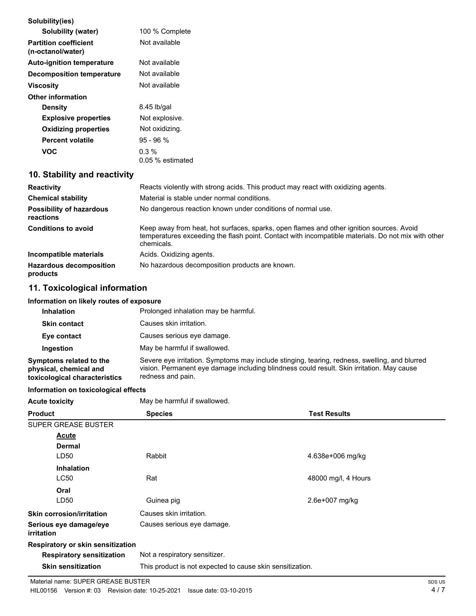| Solubility(ies)                                   |                                                                                                                                                                                                              |
|---------------------------------------------------|--------------------------------------------------------------------------------------------------------------------------------------------------------------------------------------------------------------|
| Solubility (water)                                | 100 % Complete                                                                                                                                                                                               |
| <b>Partition coefficient</b><br>(n-octanol/water) | Not available                                                                                                                                                                                                |
| <b>Auto-ignition temperature</b>                  | Not available                                                                                                                                                                                                |
| <b>Decomposition temperature</b>                  | Not available                                                                                                                                                                                                |
| <b>Viscosity</b>                                  | Not available                                                                                                                                                                                                |
| <b>Other information</b>                          |                                                                                                                                                                                                              |
| <b>Density</b>                                    | $8.45$ lb/gal                                                                                                                                                                                                |
| <b>Explosive properties</b>                       | Not explosive.                                                                                                                                                                                               |
| <b>Oxidizing properties</b>                       | Not oxidizing.                                                                                                                                                                                               |
| <b>Percent volatile</b>                           | $95 - 96 %$                                                                                                                                                                                                  |
| <b>VOC</b>                                        | 0.3%<br>0.05 % estimated                                                                                                                                                                                     |
| 10. Stability and reactivity                      |                                                                                                                                                                                                              |
| <b>Reactivity</b>                                 | Reacts violently with strong acids. This product may react with oxidizing agents.                                                                                                                            |
| <b>Chemical stability</b>                         | Material is stable under normal conditions.                                                                                                                                                                  |
| <b>Possibility of hazardous</b><br>reactions      | No dangerous reaction known under conditions of normal use.                                                                                                                                                  |
| <b>Conditions to avoid</b>                        | Keep away from heat, hot surfaces, sparks, open flames and other ignition sources. Avoid<br>temperatures exceeding the flash point. Contact with incompatible materials. Do not mix with other<br>chemicals. |
| Incompatible materials                            | Acids. Oxidizing agents.                                                                                                                                                                                     |
| <b>Hazardous decomposition</b>                    | No hazardous decomposition products are known.                                                                                                                                                               |

# **11. Toxicological information**

#### **Information on likely routes of exposure**

| <b>Inhalation</b>                                                                  | Prolonged inhalation may be harmful.                                                                                                                                                                            |
|------------------------------------------------------------------------------------|-----------------------------------------------------------------------------------------------------------------------------------------------------------------------------------------------------------------|
| <b>Skin contact</b>                                                                | Causes skin irritation.                                                                                                                                                                                         |
| Eye contact                                                                        | Causes serious eye damage.                                                                                                                                                                                      |
| Ingestion                                                                          | May be harmful if swallowed.                                                                                                                                                                                    |
| Symptoms related to the<br>physical, chemical and<br>toxicological characteristics | Severe eye irritation. Symptoms may include stinging, tearing, redness, swelling, and blurred<br>vision. Permanent eye damage including blindness could result. Skin irritation. May cause<br>redness and pain. |

#### **Information on toxicological effects**

|  | Acute toxicitv |  |  |
|--|----------------|--|--|

**products**

**Acts Acts** May be harmful if swallowed.

| <b>Product</b>                       | <b>Species</b>                                            | <b>Test Results</b> |
|--------------------------------------|-----------------------------------------------------------|---------------------|
| SUPER GREASE BUSTER                  |                                                           |                     |
| Acute                                |                                                           |                     |
| <b>Dermal</b>                        |                                                           |                     |
| LD <sub>50</sub>                     | Rabbit                                                    | 4.638e+006 mg/kg    |
| <b>Inhalation</b>                    |                                                           |                     |
| <b>LC50</b>                          | Rat                                                       | 48000 mg/l, 4 Hours |
| Oral                                 |                                                           |                     |
| LD50                                 | Guinea pig                                                | 2.6e+007 mg/kg      |
| <b>Skin corrosion/irritation</b>     | Causes skin irritation.                                   |                     |
| Serious eye damage/eye<br>irritation | Causes serious eye damage.                                |                     |
| Respiratory or skin sensitization    |                                                           |                     |
| <b>Respiratory sensitization</b>     | Not a respiratory sensitizer.                             |                     |
| <b>Skin sensitization</b>            | This product is not expected to cause skin sensitization. |                     |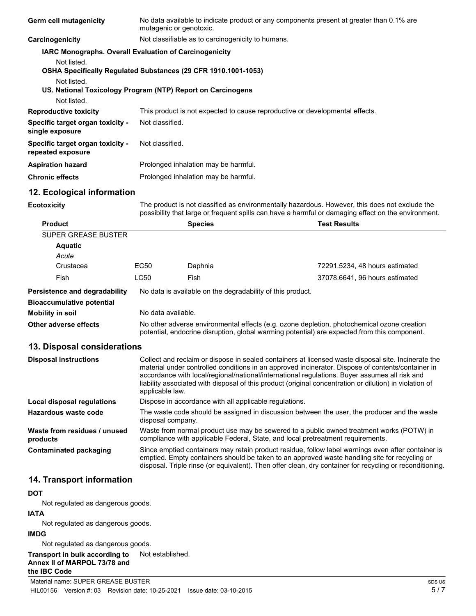| Germ cell mutagenicity                                                                                                                                      | No data available to indicate product or any components present at greater than 0.1% are<br>mutagenic or genotoxic.                                                                                                                                                                                                                                                                                                                     |                                                                              |                                                                                                                                                                                                                                                                                                                 |
|-------------------------------------------------------------------------------------------------------------------------------------------------------------|-----------------------------------------------------------------------------------------------------------------------------------------------------------------------------------------------------------------------------------------------------------------------------------------------------------------------------------------------------------------------------------------------------------------------------------------|------------------------------------------------------------------------------|-----------------------------------------------------------------------------------------------------------------------------------------------------------------------------------------------------------------------------------------------------------------------------------------------------------------|
| Carcinogenicity                                                                                                                                             | Not classifiable as to carcinogenicity to humans.                                                                                                                                                                                                                                                                                                                                                                                       |                                                                              |                                                                                                                                                                                                                                                                                                                 |
| IARC Monographs. Overall Evaluation of Carcinogenicity                                                                                                      |                                                                                                                                                                                                                                                                                                                                                                                                                                         |                                                                              |                                                                                                                                                                                                                                                                                                                 |
| Not listed.<br>OSHA Specifically Regulated Substances (29 CFR 1910.1001-1053)<br>Not listed.<br>US. National Toxicology Program (NTP) Report on Carcinogens |                                                                                                                                                                                                                                                                                                                                                                                                                                         |                                                                              |                                                                                                                                                                                                                                                                                                                 |
| Not listed.                                                                                                                                                 |                                                                                                                                                                                                                                                                                                                                                                                                                                         |                                                                              |                                                                                                                                                                                                                                                                                                                 |
| <b>Reproductive toxicity</b>                                                                                                                                |                                                                                                                                                                                                                                                                                                                                                                                                                                         | This product is not expected to cause reproductive or developmental effects. |                                                                                                                                                                                                                                                                                                                 |
| Specific target organ toxicity -<br>single exposure                                                                                                         | Not classified.                                                                                                                                                                                                                                                                                                                                                                                                                         |                                                                              |                                                                                                                                                                                                                                                                                                                 |
| Specific target organ toxicity -<br>repeated exposure                                                                                                       | Not classified.                                                                                                                                                                                                                                                                                                                                                                                                                         |                                                                              |                                                                                                                                                                                                                                                                                                                 |
| <b>Aspiration hazard</b>                                                                                                                                    |                                                                                                                                                                                                                                                                                                                                                                                                                                         | Prolonged inhalation may be harmful.                                         |                                                                                                                                                                                                                                                                                                                 |
| <b>Chronic effects</b>                                                                                                                                      |                                                                                                                                                                                                                                                                                                                                                                                                                                         | Prolonged inhalation may be harmful.                                         |                                                                                                                                                                                                                                                                                                                 |
| 12. Ecological information                                                                                                                                  |                                                                                                                                                                                                                                                                                                                                                                                                                                         |                                                                              |                                                                                                                                                                                                                                                                                                                 |
| <b>Ecotoxicity</b>                                                                                                                                          | The product is not classified as environmentally hazardous. However, this does not exclude the<br>possibility that large or frequent spills can have a harmful or damaging effect on the environment.                                                                                                                                                                                                                                   |                                                                              |                                                                                                                                                                                                                                                                                                                 |
| <b>Product</b>                                                                                                                                              |                                                                                                                                                                                                                                                                                                                                                                                                                                         | <b>Species</b>                                                               | <b>Test Results</b>                                                                                                                                                                                                                                                                                             |
| <b>SUPER GREASE BUSTER</b>                                                                                                                                  |                                                                                                                                                                                                                                                                                                                                                                                                                                         |                                                                              |                                                                                                                                                                                                                                                                                                                 |
| <b>Aquatic</b>                                                                                                                                              |                                                                                                                                                                                                                                                                                                                                                                                                                                         |                                                                              |                                                                                                                                                                                                                                                                                                                 |
| Acute                                                                                                                                                       |                                                                                                                                                                                                                                                                                                                                                                                                                                         |                                                                              |                                                                                                                                                                                                                                                                                                                 |
| Crustacea                                                                                                                                                   | EC50                                                                                                                                                                                                                                                                                                                                                                                                                                    | Daphnia                                                                      | 72291.5234, 48 hours estimated                                                                                                                                                                                                                                                                                  |
| Fish                                                                                                                                                        | <b>LC50</b>                                                                                                                                                                                                                                                                                                                                                                                                                             | Fish                                                                         | 37078.6641, 96 hours estimated                                                                                                                                                                                                                                                                                  |
| Persistence and degradability<br><b>Bioaccumulative potential</b>                                                                                           |                                                                                                                                                                                                                                                                                                                                                                                                                                         | No data is available on the degradability of this product.                   |                                                                                                                                                                                                                                                                                                                 |
| <b>Mobility in soil</b>                                                                                                                                     | No data available.                                                                                                                                                                                                                                                                                                                                                                                                                      |                                                                              |                                                                                                                                                                                                                                                                                                                 |
| <b>Other adverse effects</b>                                                                                                                                | No other adverse environmental effects (e.g. ozone depletion, photochemical ozone creation<br>potential, endocrine disruption, global warming potential) are expected from this component.                                                                                                                                                                                                                                              |                                                                              |                                                                                                                                                                                                                                                                                                                 |
| 13. Disposal considerations                                                                                                                                 |                                                                                                                                                                                                                                                                                                                                                                                                                                         |                                                                              |                                                                                                                                                                                                                                                                                                                 |
| <b>Disposal instructions</b>                                                                                                                                | Collect and reclaim or dispose in sealed containers at licensed waste disposal site. Incinerate the<br>material under controlled conditions in an approved incinerator. Dispose of contents/container in<br>accordance with local/regional/national/international regulations. Buyer assumes all risk and<br>liability associated with disposal of this product (original concentration or dilution) in violation of<br>applicable law. |                                                                              |                                                                                                                                                                                                                                                                                                                 |
| <b>Local disposal regulations</b>                                                                                                                           | Dispose in accordance with all applicable regulations.                                                                                                                                                                                                                                                                                                                                                                                  |                                                                              |                                                                                                                                                                                                                                                                                                                 |
| Hazardous waste code                                                                                                                                        | The waste code should be assigned in discussion between the user, the producer and the waste<br>disposal company.                                                                                                                                                                                                                                                                                                                       |                                                                              |                                                                                                                                                                                                                                                                                                                 |
| Waste from residues / unused<br>products                                                                                                                    | Waste from normal product use may be sewered to a public owned treatment works (POTW) in<br>compliance with applicable Federal, State, and local pretreatment requirements.                                                                                                                                                                                                                                                             |                                                                              |                                                                                                                                                                                                                                                                                                                 |
| <b>Contaminated packaging</b>                                                                                                                               |                                                                                                                                                                                                                                                                                                                                                                                                                                         |                                                                              | Since emptied containers may retain product residue, follow label warnings even after container is<br>emptied. Empty containers should be taken to an approved waste handling site for recycling or<br>disposal. Triple rinse (or equivalent). Then offer clean, dry container for recycling or reconditioning. |
| 14. Transport information                                                                                                                                   |                                                                                                                                                                                                                                                                                                                                                                                                                                         |                                                                              |                                                                                                                                                                                                                                                                                                                 |
| <b>DOT</b>                                                                                                                                                  |                                                                                                                                                                                                                                                                                                                                                                                                                                         |                                                                              |                                                                                                                                                                                                                                                                                                                 |

#### **DOT**

Not regulated as dangerous goods.

### **IATA**

Not regulated as dangerous goods.

#### **IMDG**

Not regulated as dangerous goods.

**Transport in bulk according to** Not established. **Annex II of MARPOL 73/78 and**

# **the IBC Code**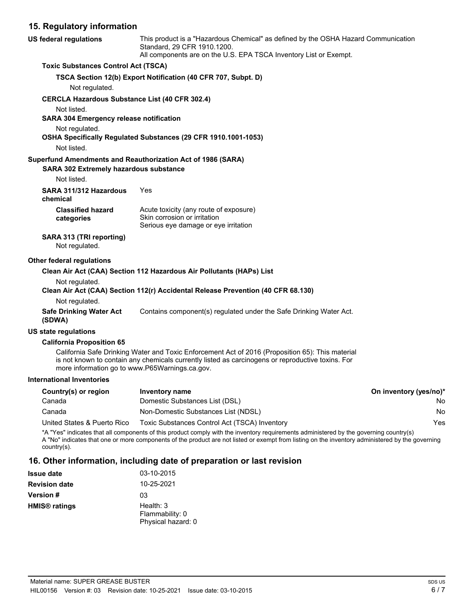# **15. Regulatory information**

| 15. Regulatory Information                                                         |                                                                                                                                                                                                       |                       |
|------------------------------------------------------------------------------------|-------------------------------------------------------------------------------------------------------------------------------------------------------------------------------------------------------|-----------------------|
| <b>US federal regulations</b>                                                      | This product is a "Hazardous Chemical" as defined by the OSHA Hazard Communication<br>Standard, 29 CFR 1910.1200.<br>All components are on the U.S. EPA TSCA Inventory List or Exempt.                |                       |
| <b>Toxic Substances Control Act (TSCA)</b>                                         |                                                                                                                                                                                                       |                       |
|                                                                                    | TSCA Section 12(b) Export Notification (40 CFR 707, Subpt. D)                                                                                                                                         |                       |
| Not regulated.                                                                     |                                                                                                                                                                                                       |                       |
| <b>CERCLA Hazardous Substance List (40 CFR 302.4)</b>                              |                                                                                                                                                                                                       |                       |
| Not listed.<br><b>SARA 304 Emergency release notification</b>                      |                                                                                                                                                                                                       |                       |
| Not regulated.                                                                     | OSHA Specifically Regulated Substances (29 CFR 1910.1001-1053)                                                                                                                                        |                       |
| Not listed.                                                                        |                                                                                                                                                                                                       |                       |
| SARA 302 Extremely hazardous substance                                             | Superfund Amendments and Reauthorization Act of 1986 (SARA)                                                                                                                                           |                       |
| Not listed.                                                                        |                                                                                                                                                                                                       |                       |
| SARA 311/312 Hazardous<br>chemical                                                 | Yes                                                                                                                                                                                                   |                       |
| <b>Classified hazard</b><br>categories                                             | Acute toxicity (any route of exposure)<br>Skin corrosion or irritation<br>Serious eye damage or eye irritation                                                                                        |                       |
| SARA 313 (TRI reporting)<br>Not regulated.                                         |                                                                                                                                                                                                       |                       |
| Other federal regulations                                                          |                                                                                                                                                                                                       |                       |
|                                                                                    | Clean Air Act (CAA) Section 112 Hazardous Air Pollutants (HAPs) List                                                                                                                                  |                       |
| Not regulated.                                                                     | Clean Air Act (CAA) Section 112(r) Accidental Release Prevention (40 CFR 68.130)                                                                                                                      |                       |
| Not regulated.                                                                     |                                                                                                                                                                                                       |                       |
| <b>Safe Drinking Water Act</b><br>(SDWA)                                           | Contains component(s) regulated under the Safe Drinking Water Act.                                                                                                                                    |                       |
| <b>US state regulations</b>                                                        |                                                                                                                                                                                                       |                       |
| <b>California Proposition 65</b><br>more information go to www.P65Warnings.ca.gov. | California Safe Drinking Water and Toxic Enforcement Act of 2016 (Proposition 65): This material<br>is not known to contain any chemicals currently listed as carcinogens or reproductive toxins. For |                       |
| <b>International Inventories</b>                                                   |                                                                                                                                                                                                       |                       |
| Country(s) or region                                                               | Inventory name                                                                                                                                                                                        | On inventory (yes/no) |

| Country(s) or region        | Inventory name                                | On inventory (yes/no)* |
|-----------------------------|-----------------------------------------------|------------------------|
| Canada                      | Domestic Substances List (DSL)                | No.                    |
| Canada                      | Non-Domestic Substances List (NDSL)           | No.                    |
| United States & Puerto Rico | Toxic Substances Control Act (TSCA) Inventory | Yes                    |

\*A "Yes" indicates that all components of this product comply with the inventory requirements administered by the governing country(s)

A "No" indicates that one or more components of the product are not listed or exempt from listing on the inventory administered by the governing country(s).

# **16. Other information, including date of preparation or last revision**

| Issue date    | 03-10-2015                                         |
|---------------|----------------------------------------------------|
| Revision date | 10-25-2021                                         |
| Version #     | 03                                                 |
| HMIS® ratings | Health: 3<br>Flammability: 0<br>Physical hazard: 0 |